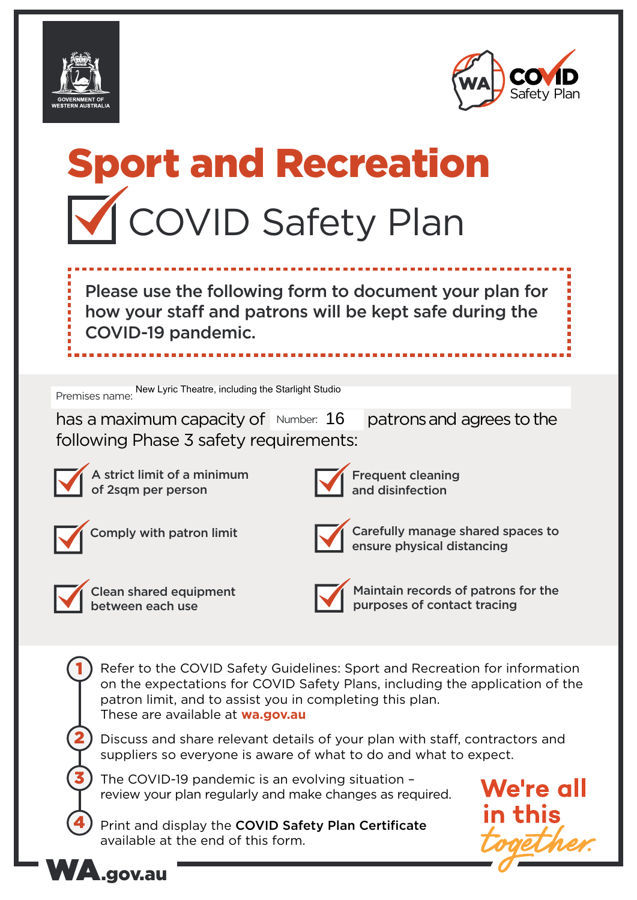



# Sport and Recreation **V** COVID Safety Plan

Please use the following form to document your plan for how your staff and patrons will be kept safe during the COVID-19 pandemic.

Premises name: New Lyric Theatre, including the Starlight Studio

has a maximum capacity of  $Number: 16$  patrons and agrees to the following Phase 3 safety requirements:



A strict limit of a minimum of 2sqm per person



Frequent cleaning and disinfection





Comply with patron limit  $\Box$  Carefully manage shared spaces to ensure physical distancing



1

2

3

4

Clean shared equipment between each use



Maintain records of patrons for the purposes of contact tracing

Refer to the COVID Safety Guidelines: Sport and Recreation for information on the expectations for COVID Safety Plans, including the application of the patron limit, and to assist you in completing this plan. These are available at **wa.gov.au**

Discuss and share relevant details of your plan with staff, contractors and suppliers so everyone is aware of what to do and what to expect.

The COVID-19 pandemic is an evolving situation – review your plan regularly and make changes as required.

Print and display the COVID Safety Plan Certificate available at the end of this form.



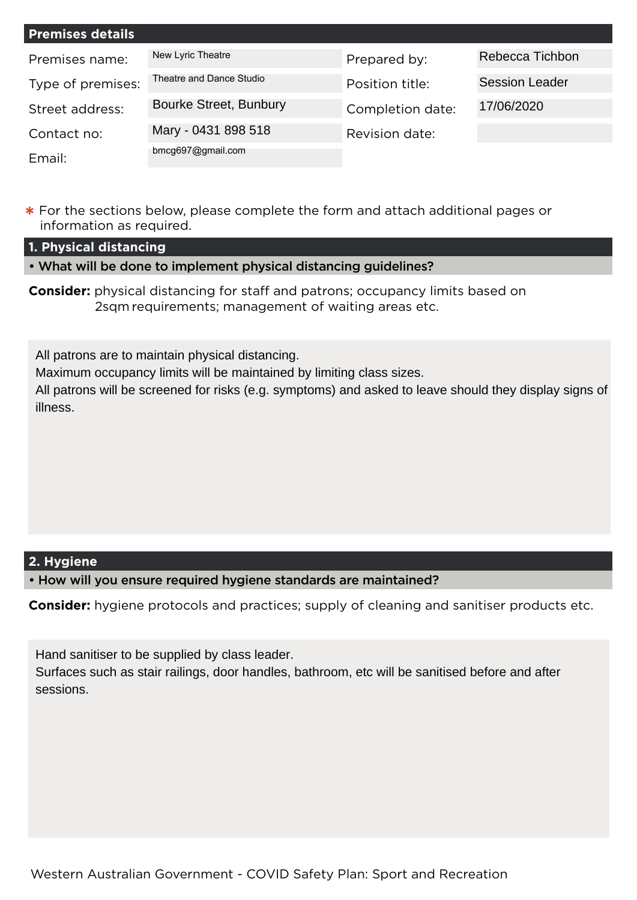| <b>Premises details</b> |                               |                  |                       |
|-------------------------|-------------------------------|------------------|-----------------------|
| Premises name:          | New Lyric Theatre             | Prepared by:     | Rebecca Tichbon       |
| Type of premises:       | Theatre and Dance Studio      | Position title:  | <b>Session Leader</b> |
| Street address:         | <b>Bourke Street, Bunbury</b> | Completion date: | 17/06/2020            |
| Contact no:             | Mary - 0431 898 518           | Revision date:   |                       |
| Email:                  | bmcg697@gmail.com             |                  |                       |

**\*** For the sections below, please complete the form and attach additional pages or information as required.

**1. Physical distancing**

• What will be done to implement physical distancing guidelines?

**Consider:** physical distancing for staff and patrons; occupancy limits based on 2sqm requirements; management of waiting areas etc.

All patrons are to maintain physical distancing.

Maximum occupancy limits will be maintained by limiting class sizes.

All patrons will be screened for risks (e.g. symptoms) and asked to leave should they display signs of illness.

## **2. Hygiene**

• How will you ensure required hygiene standards are maintained?

**Consider:** hygiene protocols and practices; supply of cleaning and sanitiser products etc.

Hand sanitiser to be supplied by class leader.

Surfaces such as stair railings, door handles, bathroom, etc will be sanitised before and after sessions.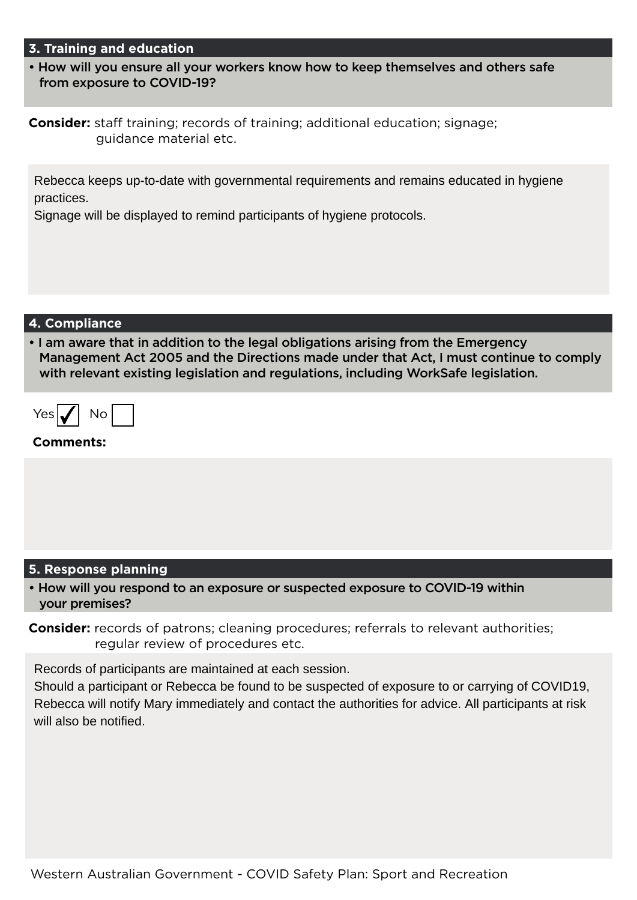#### **3. Training and education**

• How will you ensure all your workers know how to keep themselves and others safe from exposure to COVID-19?

**Consider:** staff training; records of training; additional education; signage; guidance material etc.

Rebecca keeps up-to-date with governmental requirements and remains educated in hygiene practices.

Signage will be displayed to remind participants of hygiene protocols.

#### **4. Compliance**

• I am aware that in addition to the legal obligations arising from the Emergency Management Act 2005 and the Directions made under that Act, I must continue to comply with relevant existing legislation and regulations, including WorkSafe legislation.

| <b>ACT</b> | NO. |  |
|------------|-----|--|
|------------|-----|--|

#### **Comments:**

## **5. Response planning**

• How will you respond to an exposure or suspected exposure to COVID-19 within your premises?

**Consider:** records of patrons; cleaning procedures; referrals to relevant authorities; regular review of procedures etc.

Records of participants are maintained at each session.

Should a participant or Rebecca be found to be suspected of exposure to or carrying of COVID19, Rebecca will notify Mary immediately and contact the authorities for advice. All participants at risk will also be notified.